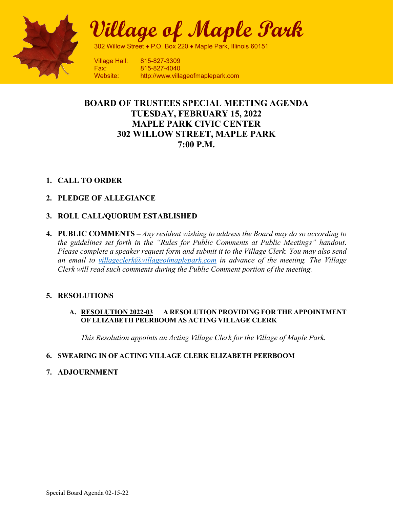

**Village of Maple Park**

302 Willow Street ♦ P.O. Box 220 ♦ Maple Park, Illinois 60151

Village Hall: 815-827-3309 Fax: 815-827-4040 Website: http://www.villageofmaplepark.com

### **BOARD OF TRUSTEES SPECIAL MEETING AGENDA TUESDAY, FEBRUARY 15, 2022 MAPLE PARK CIVIC CENTER 302 WILLOW STREET, MAPLE PARK 7:00 P.M.**

### **1. CALL TO ORDER**

### **2. PLEDGE OF ALLEGIANCE**

### **3. ROLL CALL/QUORUM ESTABLISHED**

**4. PUBLIC COMMENTS –** *Any resident wishing to address the Board may do so according to the guidelines set forth in the "Rules for Public Comments at Public Meetings" handout*. *Please complete a speaker request form and submit it to the Village Clerk. You may also send an email to [villageclerk@villageofmaplepark.com](mailto:villageclerk@villageofmaplepark.com) in advance of the meeting. The Village Clerk will read such comments during the Public Comment portion of the meeting.*

### **5. RESOLUTIONS**

#### **A. RESOLUTION 2022-03 A RESOLUTION PROVIDING FOR THE APPOINTMENT OF ELIZABETH PEERBOOM AS ACTING VILLAGE CLERK**

*This Resolution appoints an Acting Village Clerk for the Village of Maple Park.*

### **6. SWEARING IN OF ACTING VILLAGE CLERK ELIZABETH PEERBOOM**

### **7. ADJOURNMENT**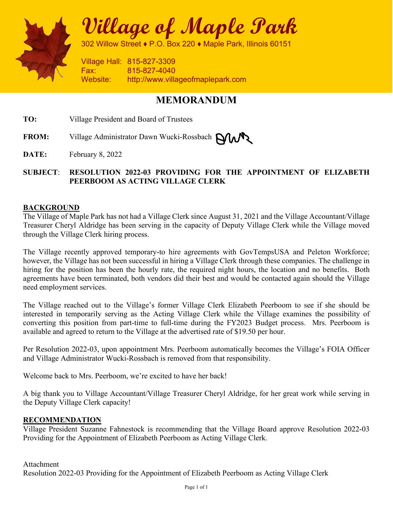

**Village of Maple Park**

302 Willow Street ♦ P.O. Box 220 ♦ Maple Park, Illinois 60151

Village Hall: 815-827-3309 Fax: 815-827-4040 Website: http://www.villageofmaplepark.com

## **MEMORANDUM**

**TO:** Village President and Board of Trustees

FROM: Village Administrator Dawn Wucki-Rossbach **NWX** 

**DATE:** February 8, 2022

### **SUBJECT**: **RESOLUTION 2022-03 PROVIDING FOR THE APPOINTMENT OF ELIZABETH PEERBOOM AS ACTING VILLAGE CLERK**

### **BACKGROUND**

The Village of Maple Park has not had a Village Clerk since August 31, 2021 and the Village Accountant/Village Treasurer Cheryl Aldridge has been serving in the capacity of Deputy Village Clerk while the Village moved through the Village Clerk hiring process.

The Village recently approved temporary-to hire agreements with GovTempsUSA and Peleton Workforce; however, the Village has not been successful in hiring a Village Clerk through these companies. The challenge in hiring for the position has been the hourly rate, the required night hours, the location and no benefits. Both agreements have been terminated, both vendors did their best and would be contacted again should the Village need employment services.

The Village reached out to the Village's former Village Clerk Elizabeth Peerboom to see if she should be interested in temporarily serving as the Acting Village Clerk while the Village examines the possibility of converting this position from part-time to full-time during the FY2023 Budget process. Mrs. Peerboom is available and agreed to return to the Village at the advertised rate of \$19.50 per hour.

Per Resolution 2022-03, upon appointment Mrs. Peerboom automatically becomes the Village's FOIA Officer and Village Administrator Wucki-Rossbach is removed from that responsibility.

Welcome back to Mrs. Peerboom, we're excited to have her back!

A big thank you to Village Accountant/Village Treasurer Cheryl Aldridge, for her great work while serving in the Deputy Village Clerk capacity!

### **RECOMMENDATION**

Village President Suzanne Fahnestock is recommending that the Village Board approve Resolution 2022-03 Providing for the Appointment of Elizabeth Peerboom as Acting Village Clerk.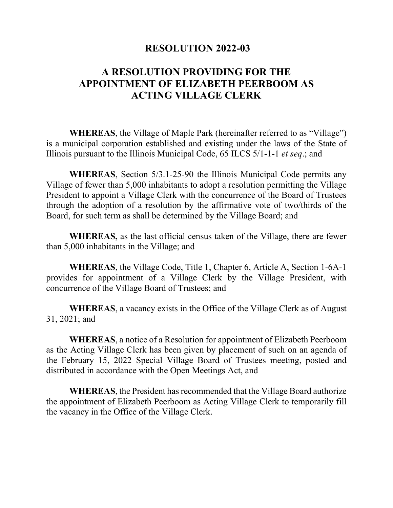### **RESOLUTION 2022-03**

# **A RESOLUTION PROVIDING FOR THE APPOINTMENT OF ELIZABETH PEERBOOM AS ACTING VILLAGE CLERK**

**WHEREAS**, the Village of Maple Park (hereinafter referred to as "Village") is a municipal corporation established and existing under the laws of the State of Illinois pursuant to the Illinois Municipal Code, 65 ILCS 5/1-1-1 *et seq*.; and

**WHEREAS**, Section 5/3.1-25-90 the Illinois Municipal Code permits any Village of fewer than 5,000 inhabitants to adopt a resolution permitting the Village President to appoint a Village Clerk with the concurrence of the Board of Trustees through the adoption of a resolution by the affirmative vote of two/thirds of the Board, for such term as shall be determined by the Village Board; and

**WHEREAS,** as the last official census taken of the Village, there are fewer than 5,000 inhabitants in the Village; and

**WHEREAS**, the Village Code, Title 1, Chapter 6, Article A, Section 1-6A-1 provides for appointment of a Village Clerk by the Village President, with concurrence of the Village Board of Trustees; and

**WHEREAS**, a vacancy exists in the Office of the Village Clerk as of August 31, 2021; and

**WHEREAS**, a notice of a Resolution for appointment of Elizabeth Peerboom as the Acting Village Clerk has been given by placement of such on an agenda of the February 15, 2022 Special Village Board of Trustees meeting, posted and distributed in accordance with the Open Meetings Act, and

**WHEREAS**, the President has recommended that the Village Board authorize the appointment of Elizabeth Peerboom as Acting Village Clerk to temporarily fill the vacancy in the Office of the Village Clerk.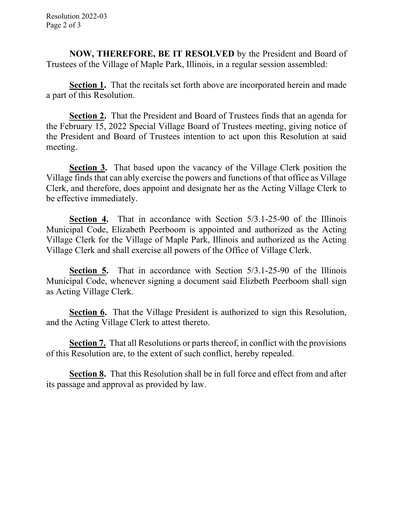**NOW, THEREFORE, BE IT RESOLVED** by the President and Board of Trustees of the Village of Maple Park, Illinois, in a regular session assembled:

**Section 1.** That the recitals set forth above are incorporated herein and made a part of this Resolution.

**Section 2.** That the President and Board of Trustees finds that an agenda for the February 15, 2022 Special Village Board of Trustees meeting, giving notice of the President and Board of Trustees intention to act upon this Resolution at said meeting.

**Section 3.** That based upon the vacancy of the Village Clerk position the Village finds that can ably exercise the powers and functions of that office as Village Clerk, and therefore, does appoint and designate her as the Acting Village Clerk to be effective immediately.

**Section 4.** That in accordance with Section 5/3.1-25-90 of the Illinois Municipal Code, Elizabeth Peerboom is appointed and authorized as the Acting Village Clerk for the Village of Maple Park, Illinois and authorized as the Acting Village Clerk and shall exercise all powers of the Office of Village Clerk.

**Section 5.** That in accordance with Section 5/3.1-25-90 of the Illinois Municipal Code, whenever signing a document said Elizbeth Peerboom shall sign as Acting Village Clerk.

**Section 6.** That the Village President is authorized to sign this Resolution, and the Acting Village Clerk to attest thereto.

**Section 7.** That all Resolutions or parts thereof, in conflict with the provisions of this Resolution are, to the extent of such conflict, hereby repealed.

**Section 8.** That this Resolution shall be in full force and effect from and after its passage and approval as provided by law.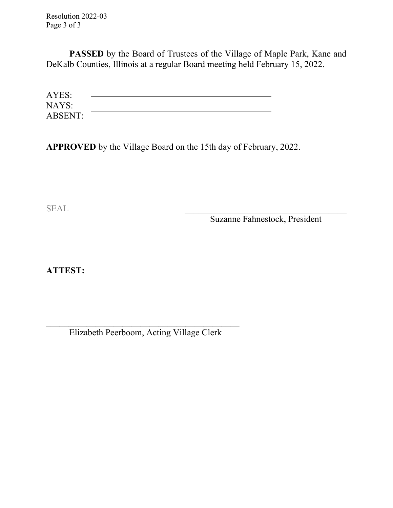Resolution 2022-03 Page 3 of 3

PASSED by the Board of Trustees of the Village of Maple Park, Kane and DeKalb Counties, Illinois at a regular Board meeting held February 15, 2022.

| AYES:          |  |  |
|----------------|--|--|
| NAYS:          |  |  |
| <b>ABSENT:</b> |  |  |

**APPROVED** by the Village Board on the 15th day of February, 2022.

SEAL \_\_\_\_\_\_\_\_\_\_\_\_\_\_\_\_\_\_\_\_\_\_\_\_\_\_\_\_\_\_\_\_\_\_\_\_

Suzanne Fahnestock, President

**ATTEST:**

Elizabeth Peerboom, Acting Village Clerk

 $\overline{\mathcal{L}}$  , and the set of the set of the set of the set of the set of the set of the set of the set of the set of the set of the set of the set of the set of the set of the set of the set of the set of the set of the s